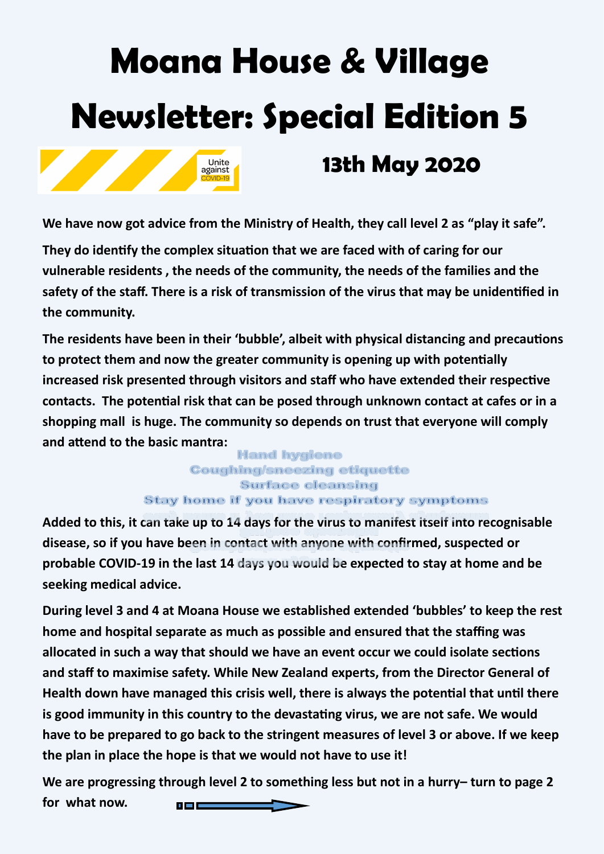# **Moana House & Village Newsletter: Special Edition 5**



**We have now got advice from the Ministry of Health, they call level 2 as "play it safe".**

Unite against

**They do identify the complex situation that we are faced with of caring for our vulnerable residents , the needs of the community, the needs of the families and the safety of the staff. There is a risk of transmission of the virus that may be unidentified in the community.**

**The residents have been in their 'bubble', albeit with physical distancing and precautions to protect them and now the greater community is opening up with potentially increased risk presented through visitors and staff who have extended their respective contacts. The potential risk that can be posed through unknown contact at cafes or in a shopping mall is huge. The community so depends on trust that everyone will comply and attend to the basic mantra:**

## **Hand hygiene Coughing/sneezing etiquette Surface cleansing Stay home if you have respiratory symptoms**

**Added to this, it can take up to 14 days for the virus to manifest itself into recognisable disease, so if you have been in contact with anyone with confirmed, suspected or probable COVID-19 in the last 14 days you would be expected to stay at home and be seeking medical advice.**

**During level 3 and 4 at Moana House we established extended 'bubbles' to keep the rest home and hospital separate as much as possible and ensured that the staffing was allocated in such a way that should we have an event occur we could isolate sections and staff to maximise safety. While New Zealand experts, from the Director General of Health down have managed this crisis well, there is always the potential that until there is good immunity in this country to the devastating virus, we are not safe. We would have to be prepared to go back to the stringent measures of level 3 or above. If we keep the plan in place the hope is that we would not have to use it!** 

**We are progressing through level 2 to something less but not in a hurry– turn to page 2 for what now.** u m c